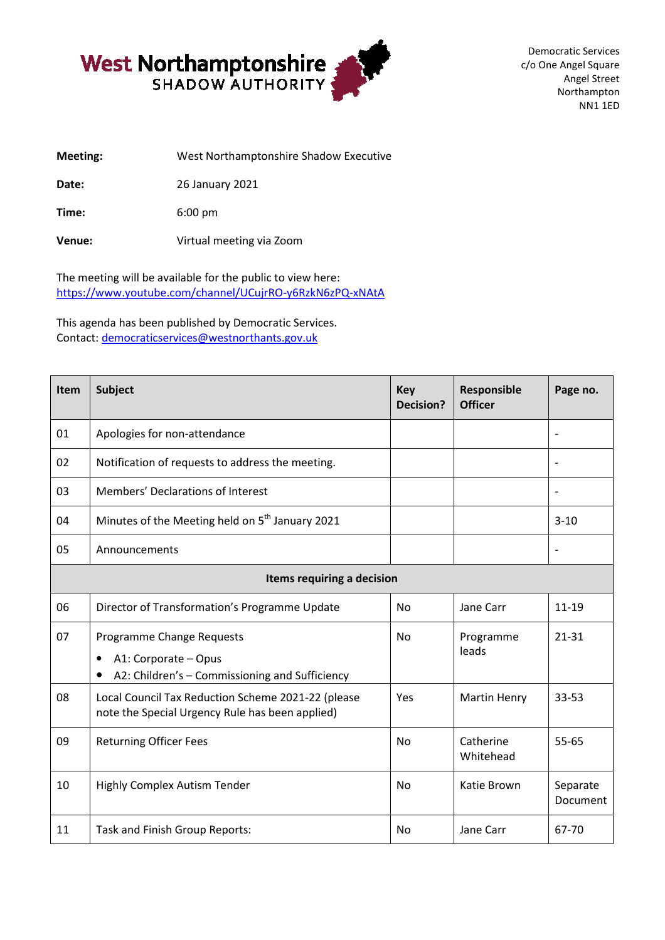

Democratic Services c/o One Angel Square Angel Street Northampton NN1 1ED

**Meeting:** West Northamptonshire Shadow Executive **Date:** 26 January 2021

**Time:** 6:00 pm

**Venue:** Virtual meeting via Zoom

The meeting will be available for the public to view here: https://www.youtube.com/channel/UCujrRO <https://www.youtube.com/channel/UCujrRO-y6RzkN6zPQ-xNAtA>

This agenda has been published by Democratic Services. Contact: democraticservices@westnorthants.gov.uk

| Item                       | <b>Subject</b>                                                                                                   | <b>Key</b><br><b>Decision?</b> | Responsible<br><b>Officer</b> | Page no.                 |  |  |
|----------------------------|------------------------------------------------------------------------------------------------------------------|--------------------------------|-------------------------------|--------------------------|--|--|
| 01                         | Apologies for non-attendance                                                                                     |                                |                               |                          |  |  |
| 02                         | Notification of requests to address the meeting.                                                                 |                                |                               | $\overline{\phantom{m}}$ |  |  |
| 03                         | Members' Declarations of Interest                                                                                |                                |                               |                          |  |  |
| 04                         | Minutes of the Meeting held on 5 <sup>th</sup> January 2021                                                      |                                |                               | $3 - 10$                 |  |  |
| 05                         | Announcements                                                                                                    |                                |                               |                          |  |  |
| Items requiring a decision |                                                                                                                  |                                |                               |                          |  |  |
| 06                         | Director of Transformation's Programme Update                                                                    | <b>No</b>                      | Jane Carr                     | $11 - 19$                |  |  |
| 07                         | Programme Change Requests<br>A1: Corporate - Opus<br>$\bullet$<br>A2: Children's - Commissioning and Sufficiency | <b>No</b>                      | Programme<br>leads            | $21 - 31$                |  |  |
| 08                         | Local Council Tax Reduction Scheme 2021-22 (please<br>note the Special Urgency Rule has been applied)            | Yes                            | <b>Martin Henry</b>           | 33-53                    |  |  |
| 09                         | <b>Returning Officer Fees</b>                                                                                    | N <sub>0</sub>                 | Catherine<br>Whitehead        | $55 - 65$                |  |  |
| 10                         | Highly Complex Autism Tender                                                                                     | <b>No</b>                      | Katie Brown                   | Separate<br>Document     |  |  |
| 11                         | Task and Finish Group Reports:                                                                                   | <b>No</b>                      | Jane Carr                     | 67-70                    |  |  |